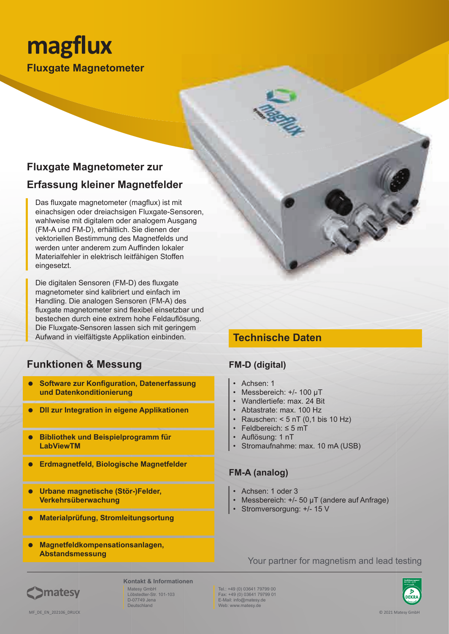# **magflux Fluxgate Magnetometer**

# **Fluxgate Magnetometer zur Erfassung kleiner Magnetfelder**

Das fluxgate magnetometer (magflux) ist mit einachsigen oder dreiachsigen Fluxgate-Sensoren, wahlweise mit digitalem oder analogem Ausgang (FM-A und FM-D), erhältlich. Sie dienen der vektoriellen Bestimmung des Magnetfelds und werden unter anderem zum Auffinden lokaler Materialfehler in elektrisch leitfähigen Stoffen eingesetzt.

Die digitalen Sensoren (FM-D) des fluxgate magnetometer sind kalibriert und einfach im Handling. Die analogen Sensoren (FM-A) des fluxgate magnetometer sind flexibel einsetzbar und bestechen durch eine extrem hohe Feldauflösung. Die Fluxgate-Sensoren lassen sich mit geringem Aufwand in vielfältigste Applikation einbinden.

## **Funktionen & Messung**

- **Software zur Konfiguration, Datenerfassung und Datenkonditionierung**
- **Dll zur Integration in eigene Applikationen**
- **Bibliothek und Beispielprogramm für LabViewTM**
- **Erdmagnetfeld, Biologische Magnetfelder**
- **Urbane magnetische (Stör-)Felder, Verkehrsüberwachung**
- **Materialprüfung, Stromleitungsortung**
- **Magnetfeldkompensationsanlagen, Abstandsmessung**

## **Technische Daten**

### **FM-D (digital)**

- Achsen: 1
- Messbereich: +/- 100 µT
- Wandlertiefe: max. 24 Bit
- Abtastrate: max. 100 Hz
- Rauschen:  $<$  5 nT (0,1 bis 10 Hz)
- Feldbereich: ≤ 5 mT • Auflösung: 1 nT
- Stromaufnahme: max. 10 mA (USB)

### **FM-A (analog)**

- Achsen: 1 oder 3
- Messbereich: +/- 50 µT (andere auf Anfrage)
- Stromversorgung: +/- 15 V

Your partner for magnetism and lead testing



Deutschland

Tel.: +49 (0) 03641 79799 00 Fax: +49 (0) 03641 79799 01 E-Mail: info@matesy.de Web: www.matesy.de